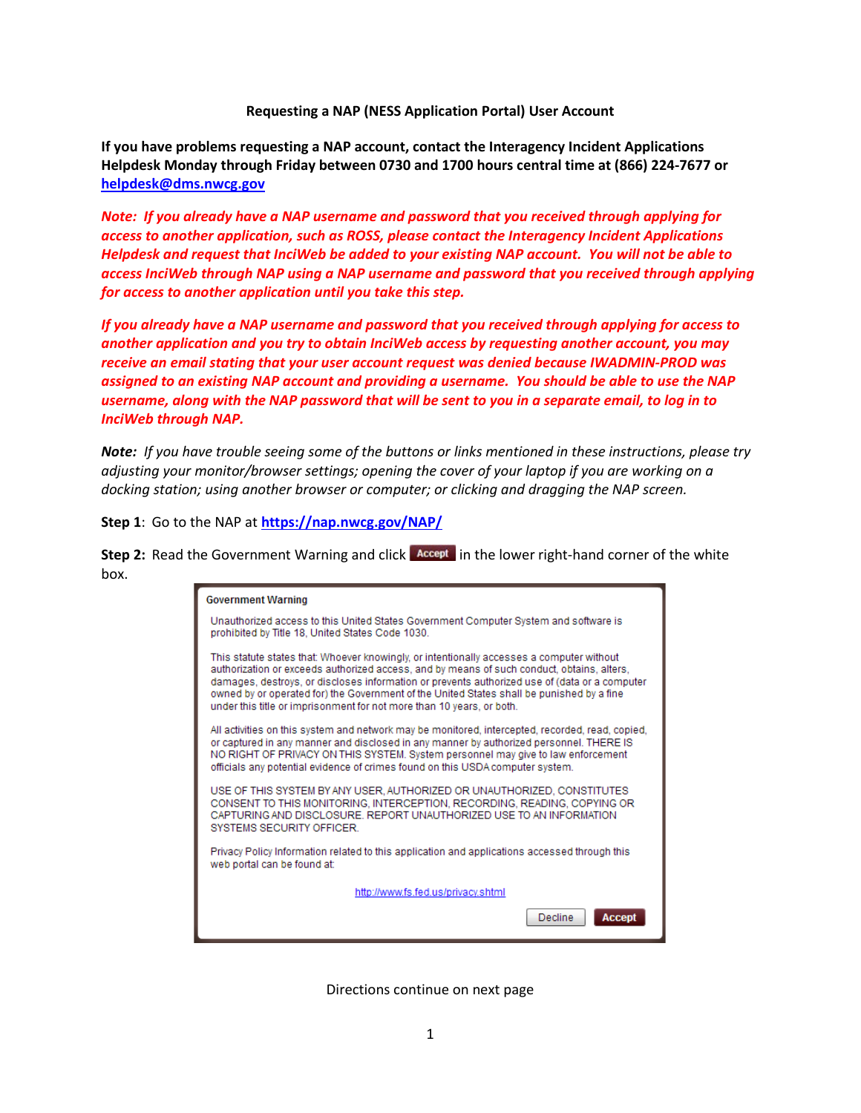## **Requesting a NAP (NESS Application Portal) User Account**

**If you have problems requesting a NAP account, contact the Interagency Incident Applications Helpdesk Monday through Friday between 0730 and 1700 hours central time at (866) 224-7677 or [helpdesk@dms.nwcg.gov](mailto:helpdesk@dms.nwcg.gov)** 

*Note: If you already have a NAP username and password that you received through applying for access to another application, such as ROSS, please contact the Interagency Incident Applications Helpdesk and request that InciWeb be added to your existing NAP account. You will not be able to access InciWeb through NAP using a NAP username and password that you received through applying for access to another application until you take this step.* 

*If you already have a NAP username and password that you received through applying for access to another application and you try to obtain InciWeb access by requesting another account, you may receive an email stating that your user account request was denied because IWADMIN-PROD was assigned to an existing NAP account and providing a username. You should be able to use the NAP username, along with the NAP password that will be sent to you in a separate email, to log in to InciWeb through NAP.*

*Note: If you have trouble seeing some of the buttons or links mentioned in these instructions, please try adjusting your monitor/browser settings; opening the cover of your laptop if you are working on a docking station; using another browser or computer; or clicking and dragging the NAP screen.* 

**Step 1**: Go to the NAP at **<https://nap.nwcg.gov/NAP/>**

**Step 2:** Read the Government Warning and click **Accept** in the lower right-hand corner of the white box.

| <b>Government Warning</b>                                                                                                                                                                                                                                                                                                                                                                                                                                      |
|----------------------------------------------------------------------------------------------------------------------------------------------------------------------------------------------------------------------------------------------------------------------------------------------------------------------------------------------------------------------------------------------------------------------------------------------------------------|
| Unauthorized access to this United States Government Computer System and software is<br>prohibited by Title 18, United States Code 1030.                                                                                                                                                                                                                                                                                                                       |
| This statute states that: Whoever knowingly, or intentionally accesses a computer without<br>authorization or exceeds authorized access, and by means of such conduct, obtains, alters,<br>damages, destroys, or discloses information or prevents authorized use of (data or a computer<br>owned by or operated for) the Government of the United States shall be punished by a fine<br>under this title or imprisonment for not more than 10 years, or both. |
| All activities on this system and network may be monitored, intercepted, recorded, read, copied,<br>or captured in any manner and disclosed in any manner by authorized personnel. THERE IS<br>NO RIGHT OF PRIVACY ON THIS SYSTEM. System personnel may give to law enforcement<br>officials any potential evidence of crimes found on this USDA computer system.                                                                                              |
| USE OF THIS SYSTEM BY ANY USER, AUTHORIZED OR UNAUTHORIZED, CONSTITUTES<br>CONSENT TO THIS MONITORING, INTERCEPTION, RECORDING, READING, COPYING OR<br>CAPTURING AND DISCLOSURE. REPORT UNAUTHORIZED USE TO AN INFORMATION<br><b>SYSTEMS SECURITY OFFICER.</b>                                                                                                                                                                                                 |
| Privacy Policy Information related to this application and applications accessed through this<br>web portal can be found at:                                                                                                                                                                                                                                                                                                                                   |
| http://www.fs.fed.us/privacy.shtml                                                                                                                                                                                                                                                                                                                                                                                                                             |
| Decline<br>Accep                                                                                                                                                                                                                                                                                                                                                                                                                                               |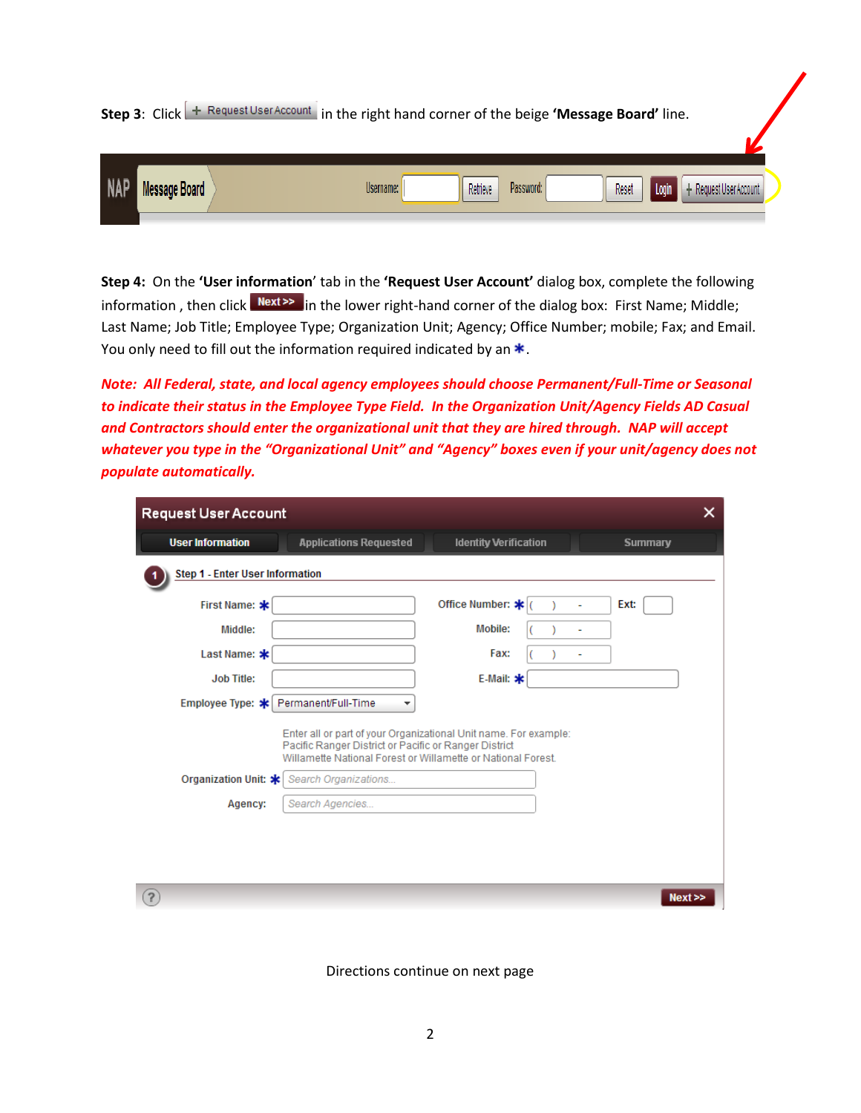**Step 3**: Click  $\leftarrow$  Request User Account in the right hand corner of the beige **'Message Board'** line.

| <b>NAP</b> | Message Board<br>1117777777 | Retrieve<br>Reset<br>Password:<br>Username:<br>equest User Account . |  |
|------------|-----------------------------|----------------------------------------------------------------------|--|
|            |                             |                                                                      |  |

**Step 4:** On the **'User information**' tab in the **'Request User Account'** dialog box, complete the following information, then click Next<sup>>></sup> in the lower right-hand corner of the dialog box: First Name; Middle; Last Name; Job Title; Employee Type; Organization Unit; Agency; Office Number; mobile; Fax; and Email. You only need to fill out the information required indicated by an  $*$ .

*Note: All Federal, state, and local agency employees should choose Permanent/Full-Time or Seasonal to indicate their status in the Employee Type Field. In the Organization Unit/Agency Fields AD Casual and Contractors should enter the organizational unit that they are hired through. NAP will accept whatever you type in the "Organizational Unit" and "Agency" boxes even if your unit/agency does not populate automatically.* 

| <b>Request User Account</b><br>×                                                                                                                                                                                                                                       |                               |                              |                |  |  |  |  |  |
|------------------------------------------------------------------------------------------------------------------------------------------------------------------------------------------------------------------------------------------------------------------------|-------------------------------|------------------------------|----------------|--|--|--|--|--|
| <b>User Information</b>                                                                                                                                                                                                                                                | <b>Applications Requested</b> | <b>Identity Verification</b> | <b>Summary</b> |  |  |  |  |  |
| Step 1 - Enter User Information                                                                                                                                                                                                                                        |                               |                              |                |  |  |  |  |  |
| First Name: *                                                                                                                                                                                                                                                          |                               | Office Number: *             | <b>Ext:</b>    |  |  |  |  |  |
| Middle:                                                                                                                                                                                                                                                                |                               | Mobile:                      |                |  |  |  |  |  |
| Last Name: *                                                                                                                                                                                                                                                           |                               | Fax:                         | ۰              |  |  |  |  |  |
| <b>Job Title:</b>                                                                                                                                                                                                                                                      |                               | E-Mail: $*$                  |                |  |  |  |  |  |
| Employee Type: *                                                                                                                                                                                                                                                       | Permanent/Full-Time<br>÷      |                              |                |  |  |  |  |  |
| Enter all or part of your Organizational Unit name. For example:<br>Pacific Ranger District or Pacific or Ranger District<br>Willamette National Forest or Willamette or National Forest<br>Organization Unit: *<br>Search Organizations<br>Search Agencies<br>Agency: |                               |                              |                |  |  |  |  |  |
| 2                                                                                                                                                                                                                                                                      |                               |                              | Next           |  |  |  |  |  |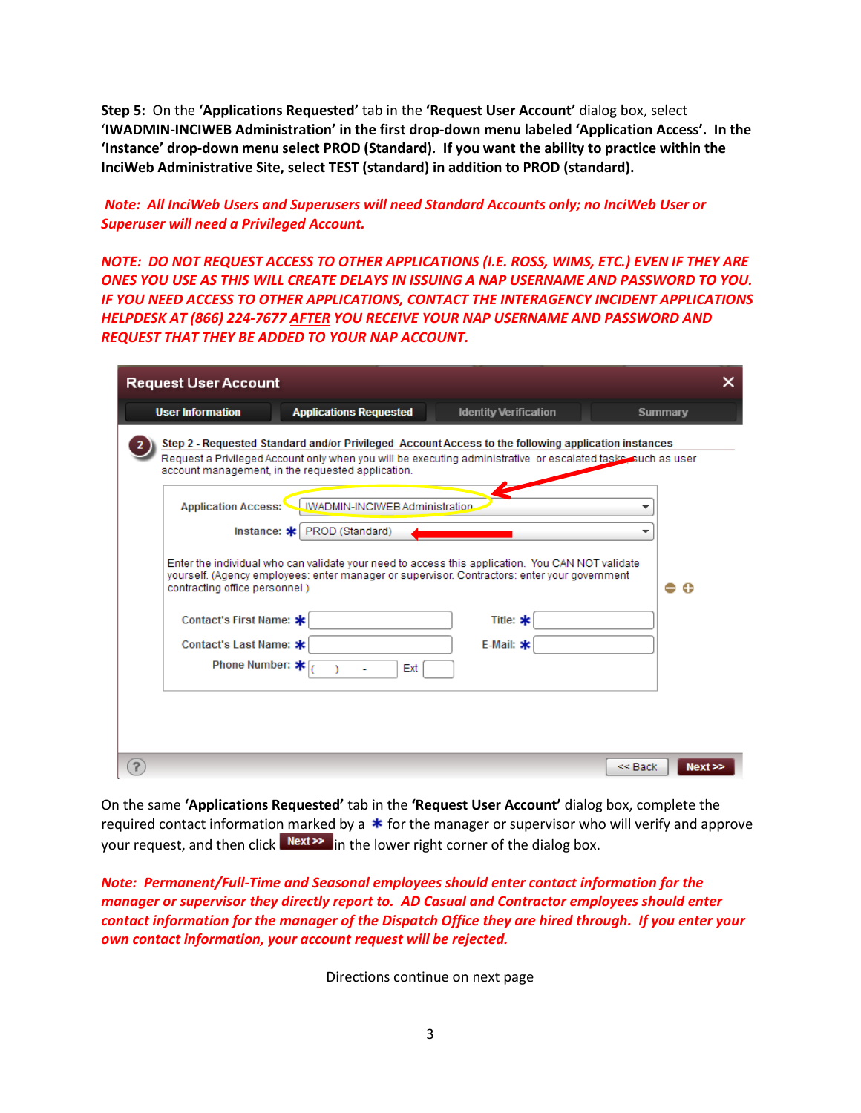**Step 5:** On the **'Applications Requested'** tab in the **'Request User Account'** dialog box, select '**IWADMIN-INCIWEB Administration' in the first drop-down menu labeled 'Application Access'. In the 'Instance' drop-down menu select PROD (Standard). If you want the ability to practice within the InciWeb Administrative Site, select TEST (standard) in addition to PROD (standard).**

*Note: All InciWeb Users and Superusers will need Standard Accounts only; no InciWeb User or Superuser will need a Privileged Account.*

*NOTE: DO NOT REQUEST ACCESS TO OTHER APPLICATIONS (I.E. ROSS, WIMS, ETC.) EVEN IF THEY ARE ONES YOU USE AS THIS WILL CREATE DELAYS IN ISSUING A NAP USERNAME AND PASSWORD TO YOU. IF YOU NEED ACCESS TO OTHER APPLICATIONS, CONTACT THE INTERAGENCY INCIDENT APPLICATIONS HELPDESK AT (866) 224-7677 AFTER YOU RECEIVE YOUR NAP USERNAME AND PASSWORD AND REQUEST THAT THEY BE ADDED TO YOUR NAP ACCOUNT.* 

| <b>Request User Account</b>    |                                                   |                                                                                                                                                                                                                    | ×                 |
|--------------------------------|---------------------------------------------------|--------------------------------------------------------------------------------------------------------------------------------------------------------------------------------------------------------------------|-------------------|
| <b>User Information</b>        | <b>Applications Requested</b>                     | <b>Identity Verification</b>                                                                                                                                                                                       | <b>Summary</b>    |
|                                | account management, in the requested application. | Step 2 - Requested Standard and/or Privileged Account Access to the following application instances<br>Request a Privileged Account only when you will be executing administrative or escalated tasks such as user |                   |
| <b>Application Access:</b>     | <b>IWADMIN-INCIWEB Administration</b>             |                                                                                                                                                                                                                    |                   |
|                                | Instance: * PROD (Standard)                       |                                                                                                                                                                                                                    |                   |
| contracting office personnel.) |                                                   | Enter the individual who can validate your need to access this application. You CAN NOT validate<br>yourself. (Agency employees: enter manager or supervisor. Contractors: enter your government                   | Ð                 |
| Contact's First Name: *        |                                                   | Title: $*$                                                                                                                                                                                                         |                   |
| Contact's Last Name: *         |                                                   | E-Mail: $*$                                                                                                                                                                                                        |                   |
| Phone Number: *                | Ext                                               |                                                                                                                                                                                                                    |                   |
|                                |                                                   |                                                                                                                                                                                                                    |                   |
|                                |                                                   |                                                                                                                                                                                                                    |                   |
|                                |                                                   |                                                                                                                                                                                                                    |                   |
|                                |                                                   |                                                                                                                                                                                                                    | Next<br>$<<$ Back |

On the same **'Applications Requested'** tab in the **'Request User Account'** dialog box, complete the required contact information marked by a  $*$  for the manager or supervisor who will verify and approve your request, and then click  $\frac{Next}{x}$  in the lower right corner of the dialog box.

*Note: Permanent/Full-Time and Seasonal employees should enter contact information for the manager or supervisor they directly report to. AD Casual and Contractor employees should enter contact information for the manager of the Dispatch Office they are hired through. If you enter your own contact information, your account request will be rejected.*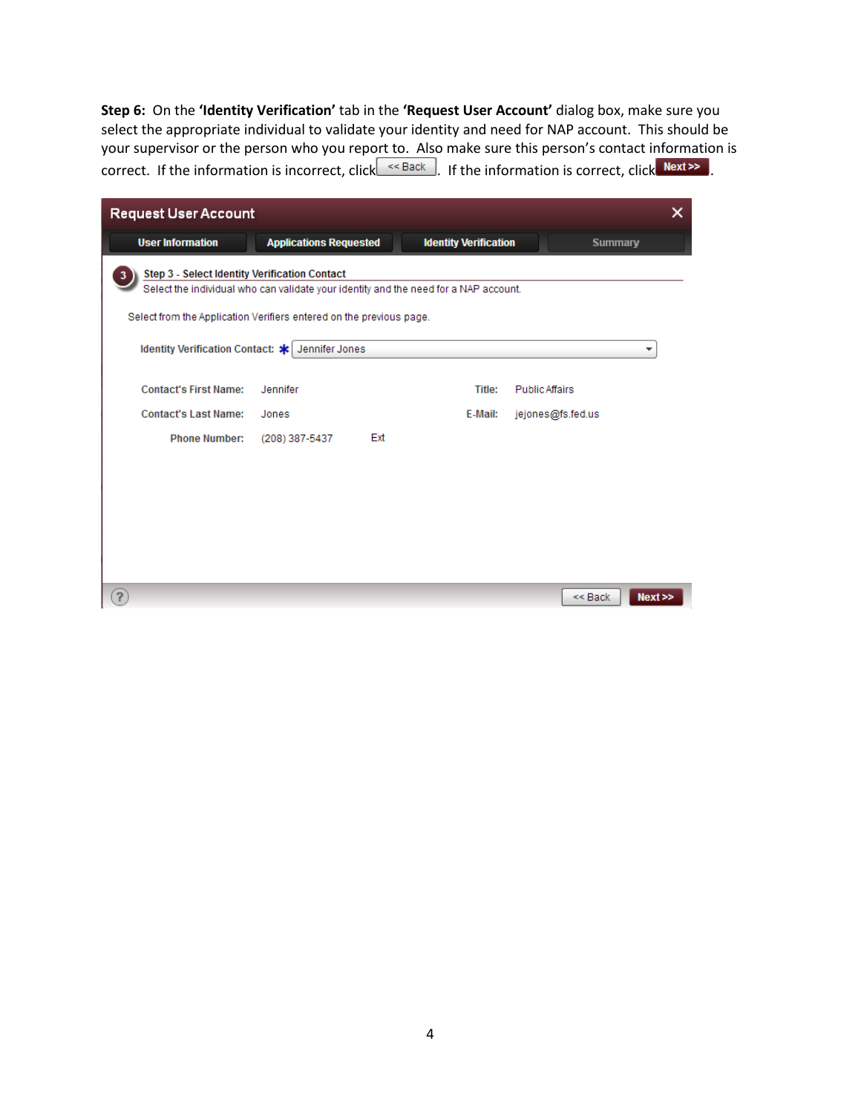**Step 6:** On the **'Identity Verification'** tab in the **'Request User Account'** dialog box, make sure you select the appropriate individual to validate your identity and need for NAP account. This should be your supervisor or the person who you report to. Also make sure this person's contact information is correct. If the information is incorrect, click  $\leq$  Back . If the information is correct, click Next>>.

| ×<br><b>Request User Account</b>                                                                                                      |                                                 |                              |                       |                |      |  |  |  |  |
|---------------------------------------------------------------------------------------------------------------------------------------|-------------------------------------------------|------------------------------|-----------------------|----------------|------|--|--|--|--|
| <b>User Information</b>                                                                                                               | <b>Applications Requested</b>                   | <b>Identity Verification</b> |                       | <b>Summary</b> |      |  |  |  |  |
| Step 3 - Select Identity Verification Contact<br>Select the individual who can validate your identity and the need for a NAP account. |                                                 |                              |                       |                |      |  |  |  |  |
| Select from the Application Verifiers entered on the previous page.                                                                   |                                                 |                              |                       |                |      |  |  |  |  |
|                                                                                                                                       | Identity Verification Contact: * Jennifer Jones |                              |                       |                | ▼    |  |  |  |  |
| <b>Contact's First Name:</b>                                                                                                          | Jennifer                                        | Title:                       | <b>Public Affairs</b> |                |      |  |  |  |  |
| <b>Contact's Last Name:</b>                                                                                                           | Jones                                           | E-Mail:                      | jejones@fs.fed.us     |                |      |  |  |  |  |
| <b>Phone Number:</b>                                                                                                                  | Ext<br>(208) 387-5437                           |                              |                       |                |      |  |  |  |  |
|                                                                                                                                       |                                                 |                              |                       |                |      |  |  |  |  |
|                                                                                                                                       |                                                 |                              |                       |                |      |  |  |  |  |
|                                                                                                                                       |                                                 |                              |                       |                |      |  |  |  |  |
|                                                                                                                                       |                                                 |                              |                       |                |      |  |  |  |  |
|                                                                                                                                       |                                                 |                              |                       |                |      |  |  |  |  |
| $\overline{?}$                                                                                                                        |                                                 |                              |                       | $<<$ Back      | Next |  |  |  |  |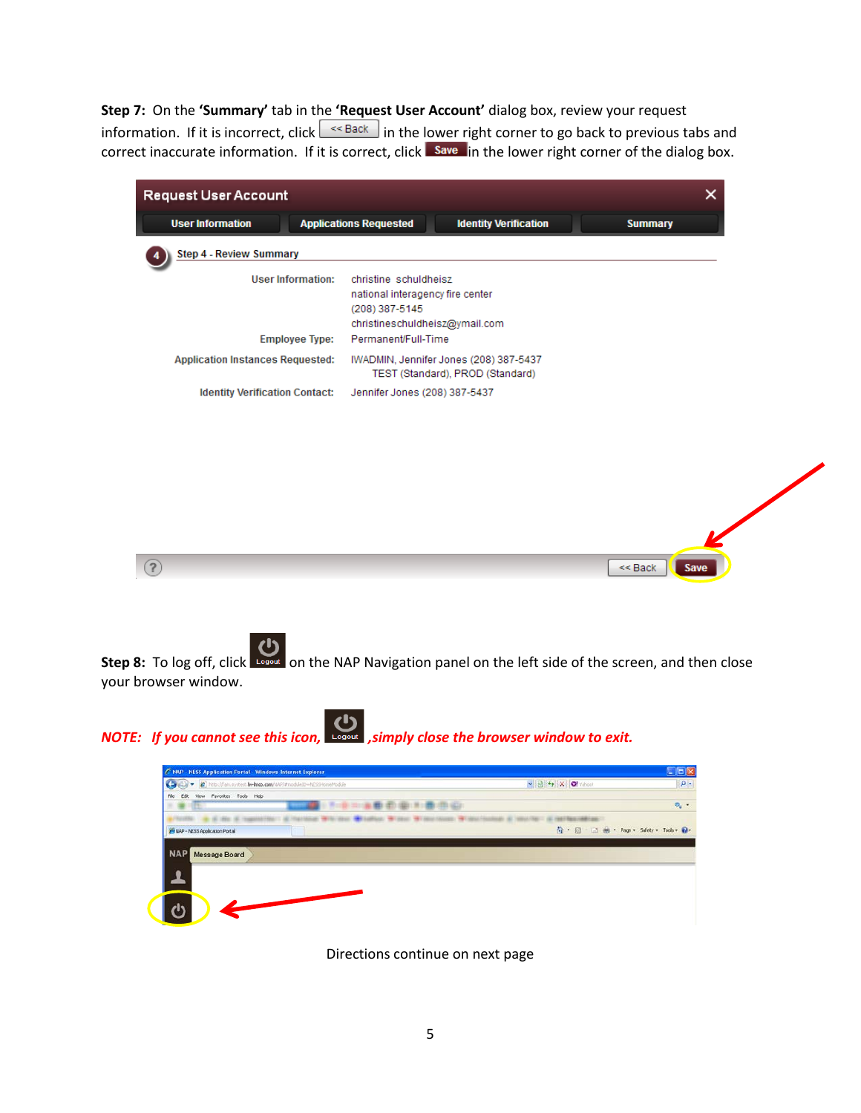**Step 7:** On the **'Summary'** tab in the **'Request User Account'** dialog box, review your request information. If it is incorrect, click  $\sqrt{\frac{1}{n}}$  in the lower right corner to go back to previous tabs and correct inaccurate information. If it is correct, click save in the lower right corner of the dialog box.

| <b>User Information</b><br><b>Applications Requested</b><br><b>Identity Verification</b><br><b>Summary</b><br><b>Step 4 - Review Summary</b><br><b>User Information:</b><br>christine schuldheisz<br>national interagency fire center<br>(208) 387-5145<br>christineschuldheisz@ymail.com<br><b>Employee Type:</b><br>Permanent/Full-Time<br><b>Application Instances Requested:</b><br>IWADMIN, Jennifer Jones (208) 387-5437<br>TEST (Standard), PROD (Standard)<br><b>Identity Verification Contact:</b><br>Jennifer Jones (208) 387-5437 | <b>Request User Account</b> |  | × |
|----------------------------------------------------------------------------------------------------------------------------------------------------------------------------------------------------------------------------------------------------------------------------------------------------------------------------------------------------------------------------------------------------------------------------------------------------------------------------------------------------------------------------------------------|-----------------------------|--|---|
|                                                                                                                                                                                                                                                                                                                                                                                                                                                                                                                                              |                             |  |   |
|                                                                                                                                                                                                                                                                                                                                                                                                                                                                                                                                              |                             |  |   |
|                                                                                                                                                                                                                                                                                                                                                                                                                                                                                                                                              |                             |  |   |
|                                                                                                                                                                                                                                                                                                                                                                                                                                                                                                                                              |                             |  |   |
|                                                                                                                                                                                                                                                                                                                                                                                                                                                                                                                                              |                             |  |   |
|                                                                                                                                                                                                                                                                                                                                                                                                                                                                                                                                              |                             |  |   |
|                                                                                                                                                                                                                                                                                                                                                                                                                                                                                                                                              |                             |  |   |
|                                                                                                                                                                                                                                                                                                                                                                                                                                                                                                                                              |                             |  |   |
|                                                                                                                                                                                                                                                                                                                                                                                                                                                                                                                                              |                             |  |   |
|                                                                                                                                                                                                                                                                                                                                                                                                                                                                                                                                              |                             |  |   |



 $<<$  Back

**Step 8:** To log off, click Logout on the NAP Navigation panel on the left side of the screen, and then close your browser window.